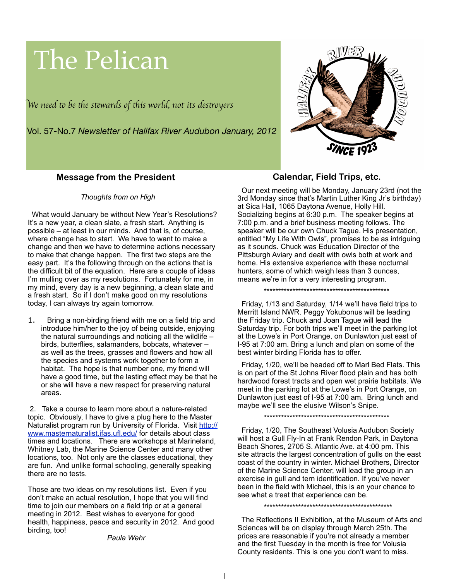# The Pelican

W*e need* " *be* #*e s*\$*wards of* #*is world, not its des*%*oyer*s

Vol. 57-No.7 *Newsletter of Halifax River Audubon January, 2012*



## **Message from the President**

! ! *Thoughts from on High*

 What would January be without New Year's Resolutions? It's a new year, a clean slate, a fresh start. Anything is possible – at least in our minds. And that is, of course, where change has to start. We have to want to make a change and then we have to determine actions necessary to make that change happen. The first two steps are the easy part. It's the following through on the actions that is the difficult bit of the equation. Here are a couple of ideas I'm mulling over as my resolutions. Fortunately for me, in my mind, every day is a new beginning, a clean slate and a fresh start. So if I don't make good on my resolutions today, I can always try again tomorrow.

1. Bring a non-birding friend with me on a field trip and introduce him/her to the joy of being outside, enjoying the natural surroundings and noticing all the wildlife – birds, butterflies, salamanders, bobcats, whatever – as well as the trees, grasses and flowers and how all the species and systems work together to form a habitat. The hope is that number one, my friend will have a good time, but the lasting effect may be that he or she will have a new respect for preserving natural areas.

 2. Take a course to learn more about a nature-related topic. Obviously, I have to give a plug here to the Master Naturalist program run by University of Florida. Visit [http://](http://www.masternaturalist.ifas.ufl.edu/) [www.masternaturalist.ifas.ufl.edu/](http://www.masternaturalist.ifas.ufl.edu/) for details about class times and locations. There are workshops at Marineland, Whitney Lab, the Marine Science Center and many other locations, too. Not only are the classes educational, they are fun. And unlike formal schooling, generally speaking there are no tests.

Those are two ideas on my resolutions list. Even if you don't make an actual resolution, I hope that you will find time to join our members on a field trip or at a general meeting in 2012. Best wishes to everyone for good health, happiness, peace and security in 2012. And good birding, too!

#### *Paula Wehr*

## **Calendar, Field Trips, etc.**

 Our next meeting will be Monday, January 23rd (not the 3rd Monday since that's Martin Luther King Jr's birthday) at Sica Hall, 1065 Daytona Avenue, Holly Hill. Socializing begins at 6:30 p.m. The speaker begins at 7:00 p.m. and a brief business meeting follows. The speaker will be our own Chuck Tague. His presentation, entitled "My Life With Owls", promises to be as intriguing as it sounds. Chuck was Education Director of the Pittsburgh Aviary and dealt with owls both at work and home. His extensive experience with these nocturnal hunters, some of which weigh less than 3 ounces, means we're in for a very interesting program.

\*\*\*\*\*\*\*\*\*\*\*\*\*\*\*\*\*\*\*\*\*\*\*\*\*\*\*\*\*\*\*\*\*\*\*\*\*\*\*\*\*\*\*\*

 Friday, 1/13 and Saturday, 1/14 we'll have field trips to Merritt Island NWR. Peggy Yokubonus will be leading the Friday trip. Chuck and Joan Tague will lead the Saturday trip. For both trips we'll meet in the parking lot at the Lowe's in Port Orange, on Dunlawton just east of I-95 at 7:00 am. Bring a lunch and plan on some of the best winter birding Florida has to offer.

 Friday, 1/20, we'll be headed off to Marl Bed Flats. This is on part of the St Johns River flood plain and has both hardwood forest tracts and open wet prairie habitats. We meet in the parking lot at the Lowe's in Port Orange, on Dunlawton just east of I-95 at 7:00 am. Bring lunch and maybe we'll see the elusive Wilson's Snipe.

\*\*\*\*\*\*\*\*\*\*\*\*\*\*\*\*\*\*\*\*\*\*\*\*\*\*\*\*\*\*\*\*\*\*\*\*\*\*\*\*\*\*\*\*

 Friday, 1/20, The Southeast Volusia Audubon Society will host a Gull Fly-In at Frank Rendon Park, in Daytona Beach Shores, 2705 S. Atlantic Ave. at 4:00 pm. This site attracts the largest concentration of gulls on the east coast of the country in winter. Michael Brothers, Director of the Marine Science Center, will lead the group in an exercise in gull and tern identification. If you've never been in the field with Michael, this is an your chance to see what a treat that experience can be.

\*\*\*\*\*\*\*\*\*\*\*\*\*\*\*\*\*\*\*\*\*\*\*\*\*\*\*\*\*\*\*\*\*\*\*\*\*\*\*\*\*\*\*\*\*

 The Reflections II Exhibition, at the Museum of Arts and Sciences will be on display through March 25th. The prices are reasonable if you're not already a member and the first Tuesday in the month is free for Volusia County residents. This is one you don't want to miss.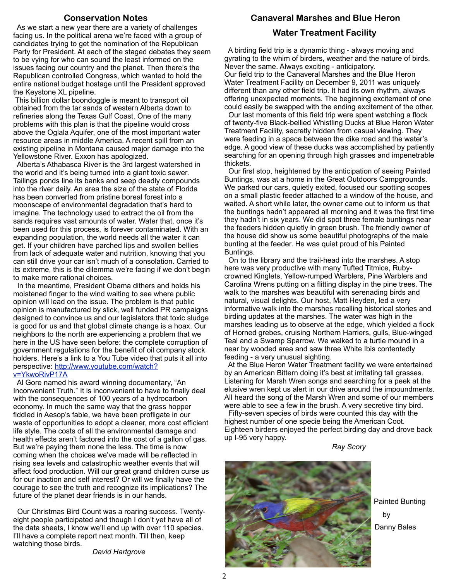## **Conservation Notes**

 As we start a new year there are a variety of challenges facing us. In the political arena we're faced with a group of candidates trying to get the nomination of the Republican Party for President. At each of the staged debates they seem to be vying for who can sound the least informed on the issues facing our country and the planet. Then there's the Republican controlled Congress, which wanted to hold the entire national budget hostage until the President approved the Keystone XL pipeline.

 This billion dollar boondoggle is meant to transport oil obtained from the tar sands of western Alberta down to refineries along the Texas Gulf Coast. One of the many problems with this plan is that the pipeline would cross above the Oglala Aquifer, one of the most important water resource areas in middle America. A recent spill from an existing pipeline in Montana caused major damage into the Yellowstone River. Exxon has apologized.

 Alberta's Athabasca River is the 3rd largest watershed in the world and it's being turned into a giant toxic sewer. Tailings ponds line its banks and seep deadly compounds into the river daily. An area the size of the state of Florida has been converted from pristine boreal forest into a moonscape of environmental degradation that's hard to imagine. The technology used to extract the oil from the sands requires vast amounts of water. Water that, once it's been used for this process, is forever contaminated. With an expanding population, the world needs all the water it can get. If your children have parched lips and swollen bellies from lack of adequate water and nutrition, knowing that you can still drive your car isn't much of a consolation. Carried to its extreme, this is the dilemma we're facing if we don't begin to make more rational choices.

 In the meantime, President Obama dithers and holds his moistened finger to the wind waiting to see where public opinion will lead on the issue. The problem is that public opinion is manufactured by slick, well funded PR campaigns designed to convince us and our legislators that toxic sludge is good for us and that global climate change is a hoax. Our neighbors to the north are experiencing a problem that we here in the US have seen before: the complete corruption of government regulations for the benefit of oil company stock holders. Here's a link to a You Tube video that puts it all into perspective: [http://www.youtube.com/watch?](http://www.youtube.com/watch?v=YkwoRivP17A) [v=YkwoRivP17A](http://www.youtube.com/watch?v=YkwoRivP17A)

 Al Gore named his award winning documentary, "An Inconvenient Truth." It is inconvenient to have to finally deal with the consequences of 100 years of a hydrocarbon economy. In much the same way that the grass hopper fiddled in Aesop's fable, we have been profligate in our waste of opportunities to adopt a cleaner, more cost efficient life style. The costs of all the environmental damage and health effects aren't factored into the cost of a gallon of gas. But we're paying them none the less. The time is now coming when the choices we've made will be reflected in rising sea levels and catastrophic weather events that will affect food production. Will our great grand children curse us for our inaction and self interest? Or will we finally have the courage to see the truth and recognize its implications? The future of the planet dear friends is in our hands.

 Our Christmas Bird Count was a roaring success. Twentyeight people participated and though I don't yet have all of the data sheets, I know we'll end up with over 110 species. I'll have a complete report next month. Till then, keep watching those birds.

*David Hartgrove*

### **Canaveral Marshes and Blue Heron**

## **Water Treatment Facility**

 A birding field trip is a dynamic thing - always moving and gyrating to the whim of birders, weather and the nature of birds. Never the same. Always exciting - anticipatory. Our field trip to the Canaveral Marshes and the Blue Heron Water Treatment Facility on December 9, 2011 was uniquely different than any other field trip. It had its own rhythm, always offering unexpected moments. The beginning excitement of one could easily be swapped with the ending excitement of the other.

 Our last moments of this field trip were spent watching a flock of twenty-five Black-bellied Whistling Ducks at Blue Heron Water Treatment Facility, secretly hidden from casual viewing. They were feeding in a space between the dike road and the water's edge. A good view of these ducks was accomplished by patiently searching for an opening through high grasses and impenetrable thickets.

 Our first stop, heightened by the anticipation of seeing Painted Buntings, was at a home in the Great Outdoors Campgrounds. We parked our cars, quietly exited, focused our spotting scopes on a small plastic feeder attached to a window of the house, and waited. A short while later, the owner came out to inform us that the buntings hadn't appeared all morning and it was the first time they hadn't in six years. We did spot three female buntings near the feeders hidden quietly in green brush. The friendly owner of the house did show us some beautiful photographs of the male bunting at the feeder. He was quiet proud of his Painted Buntings.

 On to the library and the trail-head into the marshes. A stop here was very productive with many Tufted Titmice, Rubycrowned Kinglets, Yellow-rumped Warblers, Pine Warblers and Carolina Wrens putting on a flitting display in the pine trees. The walk to the marshes was beautiful with serenading birds and natural, visual delights. Our host, Matt Heyden, led a very informative walk into the marshes recalling historical stories and birding updates at the marshes. The water was high in the marshes leading us to observe at the edge, which yielded a flock of Horned grebes, cruising Northern Harriers, gulls, Blue-winged Teal and a Swamp Sparrow. We walked to a turtle mound in a near by wooded area and saw three White Ibis contentedly feeding - a very unusual sighting.

 At the Blue Heron Water Treatment facility we were entertained by an American Bittern doing it's best at imitating tall grasses. Listening for Marsh Wren songs and searching for a peek at the elusive wren kept us alert in our drive around the impoundments. All heard the song of the Marsh Wren and some of our members were able to see a few in the brush. A very secretive tiny bird.

 Fifty-seven species of birds were counted this day with the highest number of one specie being the American Coot. Eighteen birders enjoyed the perfect birding day and drove back up I-95 very happy.

*Ray Scory*



Painted Bunting Danny Bales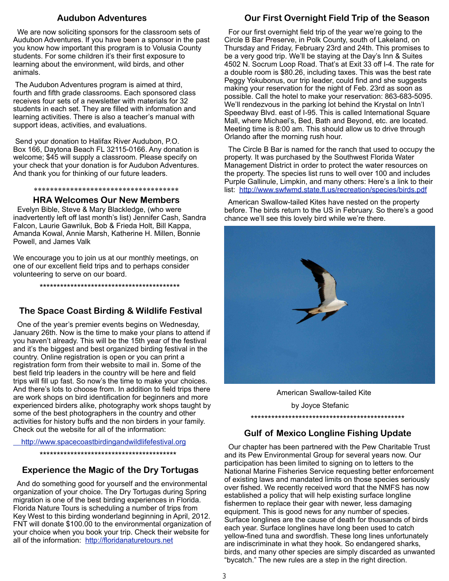## **Audubon Adventures**

 We are now soliciting sponsors for the classroom sets of Audubon Adventures. If you have been a sponsor in the past you know how important this program is to Volusia County students. For some children it's their first exposure to learning about the environment, wild birds, and other animals.

 The Audubon Adventures program is aimed at third, fourth and fifth grade classrooms. Each sponsored class receives four sets of a newsletter with materials for 32 students in each set. They are filled with information and learning activities. There is also a teacher's manual with support ideas, activities, and evaluations.

 Send your donation to Halifax River Audubon, P.O. Box 166, Daytona Beach FL 32115-0166. Any donation is welcome; \$45 will supply a classroom. Please specify on your check that your donation is for Audubon Adventures. And thank you for thinking of our future leaders.

#### \*\*\*\*\*\*\*\*\*\*\*\*\*\*\*\*\*\*\*\*\*\*\*\*\*\*\*\*\*\*\*\*\*\*\*\*

#### **HRA Welcomes Our New Members**

 Evelyn Bible, Steve & Mary Blackledge, (who were inadvertently left off last month's list) Jennifer Cash, Sandra Falcon, Laurie Gawriluk, Bob & Frieda Holt, Bill Kappa, Amanda Kowal, Annie Marsh, Katherine H. Millen, Bonnie Powell, and James Valk

We encourage you to join us at our monthly meetings, on one of our excellent field trips and to perhaps consider volunteering to serve on our board.

\*\*\*\*\*\*\*\*\*\*\*\*\*\*\*\*\*\*\*\*\*\*\*\*\*\*\*\*\*\*\*\*\*\*\*\*\*\*\*\*\*

# **The Space Coast Birding & Wildlife Festival**

 One of the year's premier events begins on Wednesday, January 26th. Now is the time to make your plans to attend if you haven't already. This will be the 15th year of the festival and it's the biggest and best organized birding festival in the country. Online registration is open or you can print a registration form from their website to mail in. Some of the best field trip leaders in the country will be here and field trips will fill up fast. So now's the time to make your choices. And there's lots to choose from. In addition to field trips there are work shops on bird identification for beginners and more experienced birders alike, photography work shops taught by some of the best photographers in the country and other activities for history buffs and the non birders in your family. Check out the website for all of the information:

<http://www.spacecoastbirdingandwildlifefestival.org>

\*\*\*\*\*\*\*\*\*\*\*\*\*\*\*\*\*\*\*\*\*\*\*\*\*\*\*\*\*\*\*\*\*\*\*\*\*\*\*\*

# **Experience the Magic of the Dry Tortugas**

 And do something good for yourself and the environmental organization of your choice. The Dry Tortugas during Spring migration is one of the best birding experiences in Florida. Florida Nature Tours is scheduling a number of trips from Key West to this birding wonderland beginning in April, 2012. FNT will donate \$100.00 to the environmental organization of your choice when you book your trip. Check their website for all of the information: <http://floridanaturetours.net>

# **Our First Overnight Field Trip of the Season**

 For our first overnight field trip of the year we're going to the Circle B Bar Preserve, in Polk County, south of Lakeland, on Thursday and Friday, February 23rd and 24th. This promises to be a very good trip. We'll be staying at the Day's Inn & Suites 4502 N. Socrum Loop Road. That's at Exit 33 off I-4. The rate for a double room is \$80.26, including taxes. This was the best rate Peggy Yokubonus, our trip leader, could find and she suggests making your reservation for the night of Feb. 23rd as soon as possible. Call the hotel to make your reservation: 863-683-5095. We'll rendezvous in the parking lot behind the Krystal on Intn'l Speedway Blvd. east of I-95. This is called International Square Mall, where Michael's, Bed, Bath and Beyond, etc. are located. Meeting time is 8:00 am. This should allow us to drive through Orlando after the morning rush hour.

 The Circle B Bar is named for the ranch that used to occupy the property. It was purchased by the Southwest Florida Water Management District in order to protect the water resources on the property. The species list runs to well over 100 and includes Purple Gallinule, Limpkin, and many others: Here's a link to their list: <http://www.swfwmd.state.fl.us/recreation/species/birds.pdf>

 American Swallow-tailed Kites have nested on the property before. The birds return to the US in February. So there's a good chance we'll see this lovely bird while we're there.



 American Swallow-tailed Kite by Joyce Stefanic \*\*\*\*\*\*\*\*\*\*\*\*\*\*\*\*\*\*\*\*\*\*\*\*\*\*\*\*\*\*\*\*\*\*\*\*\*\*\*\*\*\*\*\*\*

## **Gulf of Mexico Longline Fishing Update**

 Our chapter has been partnered with the Pew Charitable Trust and its Pew Environmental Group for several years now. Our participation has been limited to signing on to letters to the National Marine Fisheries Service requesting better enforcement of existing laws and mandated limits on those species seriously over fished. We recently received word that the NMFS has now established a policy that will help existing surface longline fishermen to replace their gear with newer, less damaging equipment. This is good news for any number of species. Surface longlines are the cause of death for thousands of birds each year. Surface longlines have long been used to catch yellow-fined tuna and swordfish. These long lines unfortunately are indiscriminate in what they hook. So endangered sharks, birds, and many other species are simply discarded as unwanted "bycatch." The new rules are a step in the right direction.